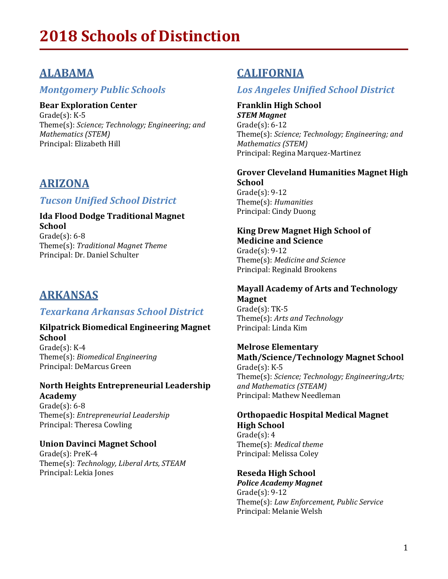# **ALABAMA**

### *Montgomery Public Schools*

**Bear Exploration Center**

 $Grade(s)$ : K-5 Theme(s): Science; Technology; Engineering; and *Mathematics (STEM)* Principal: Elizabeth Hill

# **ARIZONA**

### *Tucson Unified School District*

**Ida Flood Dodge Traditional Magnet School** Grade $(s)$ : 6-8 Theme(s): *Traditional Magnet Theme* Principal: Dr. Daniel Schulter

# **ARKANSAS**

### *Texarkana Arkansas School District*

#### **Kilpatrick Biomedical Engineering Magnet School**

 $Grade(s)$ : K-4 Theme(s): *Biomedical Engineering* Principal: DeMarcus Green

#### **North Heights Entrepreneurial Leadership Academy**

 $Grade(s): 6-8$ Theme(s): *Entrepreneurial Leadership* Principal: Theresa Cowling

### **Union Davinci Magnet School**

Grade(s): PreK-4 Theme(s): Technology, Liberal Arts, STEAM Principal: Lekia Jones

# **CALIFORNIA**

## *Los Angeles Unified School District*

**Franklin High School** *STEM Magnet*  $Grade(s): 6-12$ Theme(s): Science; Technology; Engineering; and *Mathematics (STEM)*  Principal: Regina Marquez-Martinez

#### **Grover Cleveland Humanities Magnet High School**

 $Grade(s): 9-12$ Theme(s): *Humanities* Principal: Cindy Duong

#### **King Drew Magnet High School of Medicine and Science**

 $Grade(s): 9-12$ Theme(s): Medicine and Science Principal: Reginald Brookens

### **Mayall Academy of Arts and Technology Magnet**

 $Grade(s)$ : TK-5 Theme(s): Arts and Technology Principal: Linda Kim

### **Melrose Elementary Math/Science/Technology Magnet School**

 $Gradefs$ :  $K-5$ Theme(s): *Science; Technology; Engineering;Arts; and Mathematics (STEAM)* Principal: Mathew Needleman

### **Orthopaedic Hospital Medical Magnet High School**

 $Grade(s): 4$ Theme(s): *Medical theme* Principal: Melissa Coley

### **Reseda High School**

*Police Academy Magnet*  $Grade(s): 9-12$ Theme(s): *Law Enforcement, Public Service* Principal: Melanie Welsh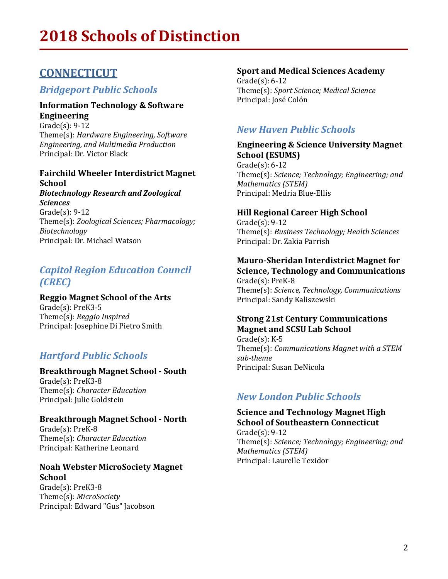# **CONNECTICUT**

### *Bridgeport Public Schools*

#### **Information Technology & Software Engineering**

 $Grade(s)$ : 9-12 Theme(s): *Hardware Engineering, Software Engineering, and Multimedia Production* Principal: Dr. Victor Black

### **Fairchild Wheeler Interdistrict Magnet School**

*Biotechnology Research and Zoological Sciences*  $Grade(s): 9-12$ Theme(s): *Zoological Sciences; Pharmacology; Biotechnology* Principal: Dr. Michael Watson

### *Capitol Region Education Council (CREC)*

#### **Reggio Magnet School of the Arts**

Grade(s): PreK3-5 Theme(s): *Reggio Inspired* Principal: Josephine Di Pietro Smith

### *Hartford Public Schools*

### **Breakthrough Magnet School - South**

Grade(s): PreK3-8 Theme(s): *Character Education* Principal: Julie Goldstein

### **Breakthrough Magnet School - North**

Grade(s): PreK-8 Theme(s): *Character Education* Principal: Katherine Leonard

#### **Noah Webster MicroSociety Magnet School**

Grade(s): PreK3-8 Theme(s): *MicroSociety* Principal: Edward "Gus" Jacobson

#### **Sport and Medical Sciences Academy**

 $Grade(s): 6-12$ Theme(s): *Sport Science; Medical Science* Principal: José Colón

### *New Haven Public Schools*

### **Engineering & Science University Magnet School (ESUMS)**

 $Grade(s): 6-12$ Theme(s): *Science; Technology; Engineering; and Mathematics (STEM)*  Principal: Medria Blue-Ellis

### **Hill Regional Career High School**

 $Grade(s): 9-12$ Theme(s): *Business Technology; Health Sciences* Principal: Dr. Zakia Parrish

#### **Mauro-Sheridan Interdistrict Magnet for Science, Technology and Communications**

Grade(s): PreK-8 Theme(s): *Science, Technology, Communications* Principal: Sandy Kaliszewski

### **Strong 21st Century Communications Magnet and SCSU Lab School**

 $Grade(s)$ : K-5 Theme(s): *Communications Magnet with a STEM sub-theme* Principal: Susan DeNicola

### *New London Public Schools*

### **Science and Technology Magnet High School of Southeastern Connecticut**

 $Grade(s): 9-12$ Theme(s): *Science; Technology; Engineering; and Mathematics (STEM)*  Principal: Laurelle Texidor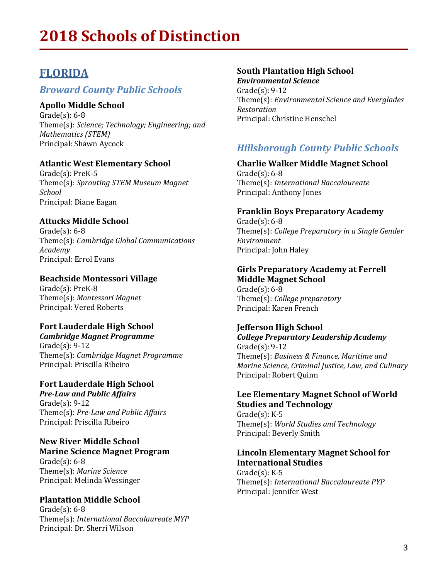# **FLORIDA**

### *Broward County Public Schools*

### **Apollo Middle School**

 $Grade(s): 6-8$ Theme(s): Science; Technology; Engineering; and *Mathematics (STEM)*  Principal: Shawn Aycock

#### **Atlantic West Elementary School**

 $Grade(s)$ : PreK-5 Theme(s): *Sprouting STEM Museum Magnet School* Principal: Diane Eagan

### **Attucks Middle School**

 $Grade(s): 6-8$ Theme(s): *Cambridge Global Communications Academy* Principal: Errol Evans

#### **Beachside Montessori Village**

Grade(s): PreK-8 Theme(s): *Montessori Magnet* Principal: Vered Roberts

### **Fort Lauderdale High School**

*Cambridge Magnet Programme*  $Grade(s): 9-12$ Theme(s): *Cambridge Magnet Programme* Principal: Priscilla Ribeiro

# **Fort Lauderdale High School**

*Pre-Law and Public Affairs*  $Grade(s): 9-12$ Theme(s): *Pre-Law and Public Affairs* Principal: Priscilla Ribeiro

#### **New River Middle School Marine Science Magnet Program**

Grade $(s)$ : 6-8 Theme(s): *Marine Science* Principal: Melinda Wessinger

### **Plantation Middle School**

 $Grade(s): 6-8$ Theme(s): *International Baccalaureate MYP* Principal: Dr. Sherri Wilson

### **South Plantation High School**

*Environmental Science*  $Grade(s): 9-12$ Theme(s): *Environmental Science and Everglades Restoration* Principal: Christine Henschel

### *Hillsborough County Public Schools*

#### **Charlie Walker Middle Magnet School**  $Grade(s): 6-8$

Theme(s): *International Baccalaureate* Principal: Anthony Jones

#### **Franklin Boys Preparatory Academy**

 $Grade(s): 6-8$ Theme(s): *College Preparatory in a Single Gender Environment* Principal: John Haley

#### **Girls Preparatory Academy at Ferrell Middle Magnet School**

 $Grade(s): 6-8$ Theme(s): *College preparatory* Principal: Karen French

### **Jefferson High School**

*College Preparatory Leadership Academy*  $Grade(s): 9-12$ Theme(s): Business & Finance, Maritime and *Marine Science, Criminal Justice, Law, and Culinary* Principal: Robert Quinn

#### Lee Elementary Magnet School of World **Studies and Technology**

 $Grade(s)$ : K-5 Theme(s): *World Studies and Technology* Principal: Beverly Smith

#### **Lincoln Elementary Magnet School for International Studies**

 $Grade(s)$ : K-5 Theme(s): *International Baccalaureate PYP* Principal: Jennifer West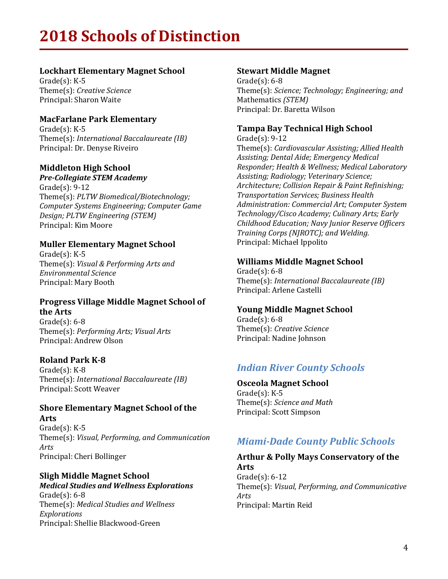### **Lockhart Elementary Magnet School**

 $Grade(s): K-5$ Theme(s): *Creative Science* Principal: Sharon Waite

#### **MacFarlane Park Elementary**

 $Grade(s)$ : K-5 Theme(s): *International Baccalaureate* (*IB*) Principal: Dr. Denyse Riveiro

#### **Middleton High School**

*Pre-Collegiate STEM Academy*  $Grade(s): 9-12$ Theme(s): *PLTW Biomedical/Biotechnology; Computer Systems Engineering; Computer Game Design; PLTW Engineering (STEM)* Principal: Kim Moore

### **Muller Elementary Magnet School**

 $Grade(s)$ : K-5 Theme(s): *Visual & Performing Arts and Environmental Science* Principal: Mary Booth

### **Progress Village Middle Magnet School of the Arts**

 $Grade(s): 6-8$ Theme(s): *Performing Arts; Visual Arts* Principal: Andrew Olson

#### **Roland Park K-8**

 $Grade(s)$ :  $K-8$ Theme(s): *International Baccalaureate (IB)* Principal: Scott Weaver

#### **Shore Elementary Magnet School of the Arts**

 $Grade(s): K-5$ Theme(s): *Visual, Performing, and Communication Arts* Principal: Cheri Bollinger

### **Sligh Middle Magnet School**

*Medical Studies and Wellness Explorations*  $Grade(s): 6-8$ Theme(s): Medical Studies and Wellness *Explorations* Principal: Shellie Blackwood-Green

#### **Stewart Middle Magnet**

 $Grade(s): 6-8$ Theme(s): *Science; Technology; Engineering; and* Mathematics *(STEM)* Principal: Dr. Baretta Wilson

### **Tampa Bay Technical High School**

 $Grade(s): 9-12$ Theme(s): *Cardiovascular Assisting; Allied Health*  Assisting; Dental Aide; Emergency Medical *Responder; Health & Wellness; Medical Laboratory Assisting; Radiology; Veterinary Science; Architecture; Collision Repair & Paint Refinishing; Transportation Services; Business Health Administration: Commercial Art; Computer System Technology/Cisco Academy; Culinary Arts; Early Childhood Education; Navy Junior Reserve Officers Training Corps (NJROTC); and Welding.* Principal: Michael Ippolito

#### **Williams Middle Magnet School**

Grade $(s)$ : 6-8 Theme(s): *International Baccalaureate (IB)* Principal: Arlene Castelli

#### **Young Middle Magnet School**

 $Grade(s): 6-8$ Theme(s): *Creative Science* Principal: Nadine Johnson

### *Indian River County Schools*

**Osceola Magnet School**  $Grade(s)$ : K-5 Theme(s): *Science and Math* Principal: Scott Simpson

### *Miami-Dade County Public Schools*

#### Arthur & Polly Mays Conservatory of the **Arts**  $Grade(s): 6-12$

Theme(s): Visual, Performing, and Communicative *Arts* Principal: Martin Reid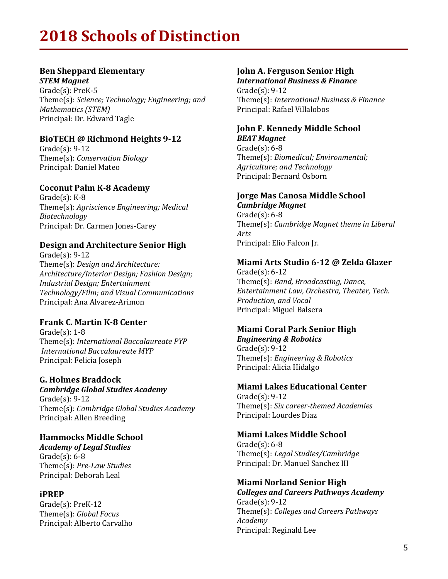### **Ben Sheppard Elementary**

*STEM Magnet*  $Grade(s)$ : Pre $K-5$ Theme(s): Science; Technology; Engineering; and *Mathematics (STEM)* Principal: Dr. Edward Tagle

### **BioTECH @ Richmond Heights 9-12**

 $Grade(s): 9-12$ Theme(s): *Conservation Biology* Principal: Daniel Mateo

### **Coconut Palm K-8 Academy**

 $Grade(s)$ : K-8 Theme(s): Agriscience Engineering; Medical *Biotechnology* Principal: Dr. Carmen Jones-Carey

### **Design and Architecture Senior High**

 $Grade(s)$ : 9-12 Theme(s): *Design and Architecture: Architecture/Interior Design; Fashion Design; Industrial Design; Entertainment Technology/Film; and Visual Communications* Principal: Ana Alvarez-Arimon

### **Frank C. Martin K-8 Center**

 $Grade(s): 1-8$ Theme(s): *International Baccalaureate PYP International Baccalaureate MYP* Principal: Felicia Joseph

#### **G. Holmes Braddock**

*Cambridge Global Studies Academy*  $Grade(s): 9-12$ Theme(s): *Cambridge Global Studies Academy* Principal: Allen Breeding

#### **Hammocks Middle School**

*Academy of Legal Studies*  $Grade(s): 6-8$ Theme(s): *Pre-Law Studies* Principal: Deborah Leal

#### **iPREP**

Grade(s): PreK-12 Theme(s): *Global Focus* Principal: Alberto Carvalho

### **John A. Ferguson Senior High**

*International Business & Finance*  $Grade(s): 9-12$ Theme(s): *International Business & Finance* Principal: Rafael Villalobos

#### **John F. Kennedy Middle School** *BEAT Magnet*

Grade $(s)$ : 6-8 Theme(s): *Biomedical; Environmental; Agriculture; and Technology* Principal: Bernard Osborn

### **Jorge Mas Canosa Middle School**

*Cambridge Magnet*  $Grade(s): 6-8$ Theme(s): *Cambridge Magnet theme in Liberal Arts* Principal: Elio Falcon Jr.

#### **Miami Arts Studio 6-12 @ Zelda Glazer**

 $Gradel(s)$ : 6-12 Theme(s): *Band, Broadcasting, Dance, Entertainment Law, Orchestra, Theater, Tech.*  **Production, and Vocal** Principal: Miguel Balsera

### **Miami Coral Park Senior High**

*Engineering & Robotics*  $Grade(s): 9-12$ Theme(s): *Engineering & Robotics* Principal: Alicia Hidalgo

### **Miami Lakes Educational Center**

 $Grade(s): 9-12$ Theme(s): *Six career-themed Academies* Principal: Lourdes Diaz

### **Miami Lakes Middle School**

 $Grade(s): 6-8$ Theme(s): *Legal Studies/Cambridge* Principal: Dr. Manuel Sanchez III

### **Miami Norland Senior High**

*Colleges and Careers Pathways Academy*  $Grade(s): 9-12$ Theme(s): *Colleges and Careers Pathways Academy* Principal: Reginald Lee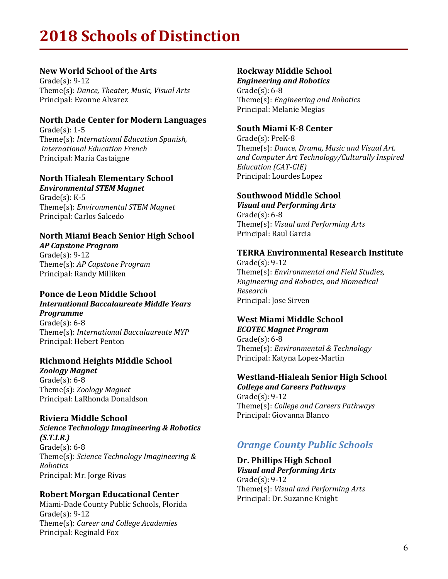#### **New World School of the Arts**

Grade $(s)$ : 9-12 Theme(s): Dance, Theater, Music, Visual Arts Principal: Evonne Alvarez

#### **North Dade Center for Modern Languages**

Grade $(s)$ : 1-5 Theme(s): *International Education Spanish, International Education French* Principal: Maria Castaigne

### **North Hialeah Elementary School**

*Environmental STEM Magnet*  $Grade(s): K-5$ Theme(s): *Environmental STEM Magnet* Principal: Carlos Salcedo

### **North Miami Beach Senior High School**

*AP Capstone Program*  $Gradel(s)$ : 9-12 Theme(s): *AP Capstone Program* Principal: Randy Milliken

#### **Ponce de Leon Middle School**

*International Baccalaureate Middle Years Programme* Grade $(s)$ : 6-8

Theme(s): *International Baccalaureate MYP* Principal: Hebert Penton

### **Richmond Heights Middle School**

*Zoology Magnet*  $Grade(s): 6-8$ Theme(s): *Zoology Magnet* Principal: LaRhonda Donaldson

### **Riviera Middle School**

*Science Technology Imagineering & Robotics (S.T.I.R.)*  $Grade(s): 6-8$ Theme(s): *Science Technology Imagineering & Robotics* Principal: Mr. Jorge Rivas

#### **Robert Morgan Educational Center**

Miami-Dade County Public Schools, Florida  $Grade(s)$ : 9-12 Theme(s): *Career and College Academies* Principal: Reginald Fox

### **Rockway Middle School**

*Engineering and Robotics*  $Grade(s): 6-8$ Theme(s): *Engineering and Robotics* Principal: Melanie Megias

### **South Miami K-8 Center**

Grade(s): PreK-8 Theme(s): Dance, Drama, Music and Visual Art. and Computer Art Technology/Culturally Inspired *Education (CAT-CIE)* Principal: Lourdes Lopez

### **Southwood Middle School**

*Visual and Performing Arts*  $Grade(s): 6-8$ Theme(s): *Visual and Performing Arts* Principal: Raul Garcia

### **TERRA Environmental Research Institute**

 $Grade(s): 9-12$ Theme(s): *Environmental and Field Studies*, *Engineering and Robotics, and Biomedical Research* Principal: Jose Sirven

#### **West Miami Middle School** *ECOTEC Magnet Program*

 $Grade(s): 6-8$ Theme(s): *Environmental & Technology* Principal: Katyna Lopez-Martin

### **Westland-Hialeah Senior High School**

*College and Careers Pathways*  $Grade(s): 9-12$ Theme(s): *College and Careers Pathways* Principal: Giovanna Blanco

### *Orange County Public Schools*

Dr. Phillips High School

*Visual and Performing Arts*  $Grade(s): 9-12$ Theme(s): *Visual and Performing Arts* Principal: Dr. Suzanne Knight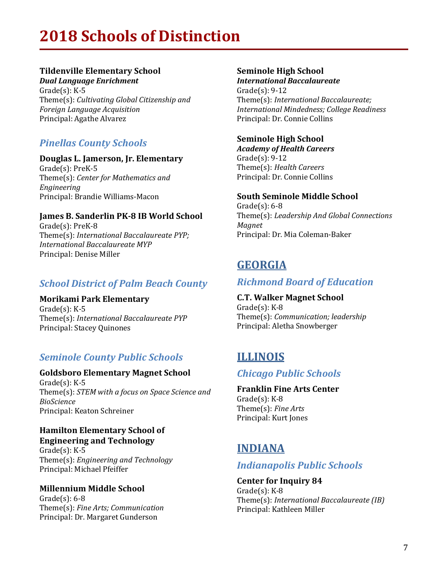### **Tildenville Elementary School**

*Dual Language Enrichment*  $Gradefs$ :  $K-5$ Theme(s): *Cultivating Global Citizenship and Foreign Language Acquisition* Principal: Agathe Alvarez

## *Pinellas County Schools*

### **Douglas L. Jamerson, Jr. Elementary**

Grade(s): PreK-5 Theme(s): Center for Mathematics and *Engineering* Principal: Brandie Williams-Macon

### **James B. Sanderlin PK-8 IB World School**

Grade(s): PreK-8 Theme(s): *International Baccalaureate PYP; International Baccalaureate MYP* Principal: Denise Miller

## **School District of Palm Beach County**

### **Morikami Park Elementary**

 $Grade(s)$ : K-5 Theme(s): *International Baccalaureate PYP* Principal: Stacey Quinones

## **Seminole County Public Schools**

### **Goldsboro Elementary Magnet School**

 $Grade(s)$ : K-5 Theme(s): *STEM* with a focus on Space Science and *BioScience* Principal: Keaton Schreiner

#### **Hamilton Elementary School of Engineering and Technology**

 $Grade(s)$ : K-5 Theme(s): *Engineering and Technology* Principal: Michael Pfeiffer

### **Millennium Middle School**

 $Gradefs$ : 6-8 Theme(s): *Fine Arts; Communication* Principal: Dr. Margaret Gunderson

### **Seminole High School**

*International Baccalaureate*  $Grade(s): 9-12$ Theme(s): *International Baccalaureate; International Mindedness; College Readiness* Principal: Dr. Connie Collins

### **Seminole High School**

*Academy of Health Careers*  $Grade(s): 9-12$ Theme(s): *Health Careers* Principal: Dr. Connie Collins

### **South Seminole Middle School**

 $Grade(s): 6-8$ Theme(s): *Leadership And Global Connections Magnet* Principal: Dr. Mia Coleman-Baker

# **GEORGIA**

### *Richmond Board of Education*

**C.T. Walker Magnet School**  $Grade(s)$ : K-8 Theme(s): *Communication; leadership* Principal: Aletha Snowberger

# **ILLINOIS**

### *Chicago Public Schools*

### **Franklin Fine Arts Center**

 $Grade(s)$ : K-8 Theme(s): *Fine Arts* Principal: Kurt Jones

# **INDIANA**

### *Indianapolis Public Schools*

#### **Center for Inquiry 84**  $Grade(s)$ : K-8

Theme(s): *International Baccalaureate (IB)* Principal: Kathleen Miller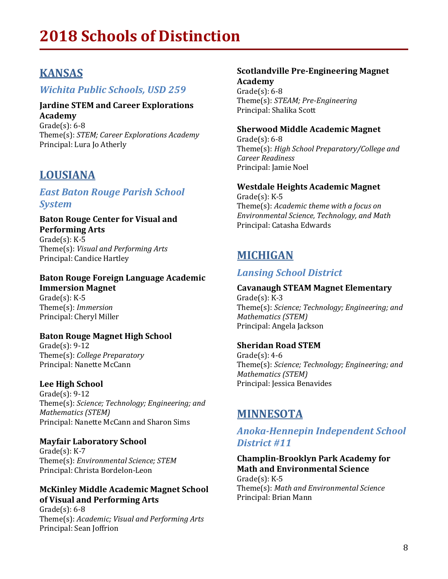# **KANSAS**

### *Wichita Public Schools, USD 259*

#### **Jardine STEM and Career Explorations Academy**

 $Gradefs$ : 6-8 Theme(s): *STEM; Career Explorations Academy* Principal: Lura Jo Atherly

## **LOUSIANA**

### *East Baton Rouge Parish School System*

#### **Baton Rouge Center for Visual and Performing Arts**

 $Gradel(s)$ : K-5 Theme(s): *Visual and Performing Arts* Principal: Candice Hartley

# **Baton Rouge Foreign Language Academic**

**Immersion Magnet**  $Grade(s)$ : K-5 Theme(s): *Immersion* Principal: Cheryl Miller

### **Baton Rouge Magnet High School**

 $Grade(s): 9-12$ Theme(s): *College Preparatory* Principal: Nanette McCann

### **Lee High School**

 $Grade(s): 9-12$ Theme(s): *Science; Technology; Engineering; and Mathematics (STEM)* Principal: Nanette McCann and Sharon Sims

### **Mayfair Laboratory School**

Grade(s): K-7 Theme(s): *Environmental Science; STEM* Principal: Christa Bordelon-Leon

### **McKinley Middle Academic Magnet School of Visual and Performing Arts**

 $Gradel(s)$ : 6-8 Theme(s): Academic; Visual and Performing Arts Principal: Sean Joffrion

#### **Scotlandville Pre-Engineering Magnet Academy** Grade $(s)$ : 6-8 Theme(s): *STEAM; Pre-Engineering*

#### **Sherwood Middle Academic Magnet**

Principal: Shalika Scott

 $Grade(s): 6-8$ Theme(s): *High School Preparatory/College and Career Readiness* Principal: Jamie Noel

#### **Westdale Heights Academic Magnet**

 $Grade(s)$ : K-5 Theme(s): *Academic theme with a focus on Environmental Science, Technology, and Math* Principal: Catasha Edwards

# **MICHIGAN**

### *Lansing School District*

#### **Cavanaugh STEAM Magnet Elementary**  $Grade(s)$ : K-3

Theme(s): *Science; Technology; Engineering; and Mathematics (STEM)*  Principal: Angela Jackson

### **Sheridan Road STEM**

 $Gradel(s)$ : 4-6 Theme(s): *Science; Technology; Engineering; and Mathematics (STEM)* Principal: Jessica Benavides

# **MINNESOTA**

### *Anoka-Hennepin Independent School District #11*

### **Champlin-Brooklyn Park Academy for Math and Environmental Science**

 $Grade(s)$ : K-5 Theme(s): Math and Environmental Science Principal: Brian Mann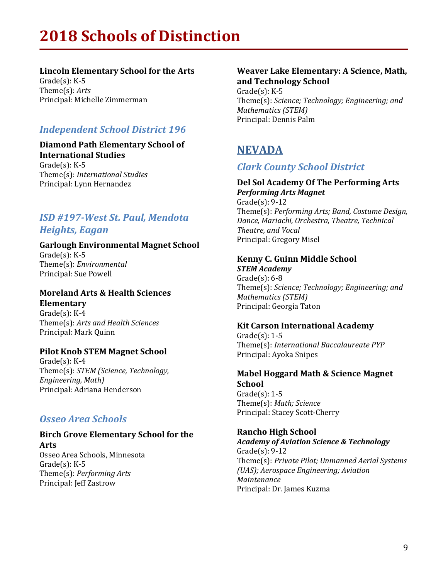### **Lincoln Elementary School for the Arts**

 $Grade(s): K-5$ Theme(s): *Arts* Principal: Michelle Zimmerman

## *Independent School District 196*

#### **Diamond Path Elementary School of International Studies**  $Grade(s)$ : K-5 Theme(s): *International Studies*

Principal: Lynn Hernandez

### *ISD #197-West St. Paul, Mendota Heights, Eagan*

### **Garlough Environmental Magnet School**

 $Gradel(s)$ : K-5 Theme(s): *Environmental* Principal: Sue Powell

### **Moreland Arts & Health Sciences Elementary**

 $Grade(s)$ : K-4 Theme(s): *Arts and Health Sciences* Principal: Mark Quinn

### **Pilot Knob STEM Magnet School**

 $Grade(s): K-4$ Theme(s): *STEM* (*Science*, *Technology*, *Engineering, Math)* Principal: Adriana Henderson

### *Osseo Area Schools*

### **Birch Grove Elementary School for the Arts**

Osseo Area Schools, Minnesota Grade $(s)$ : K-5 Theme(s): *Performing Arts* Principal: Jeff Zastrow

#### **Weaver Lake Elementary: A Science, Math, and Technology School**

 $Grade(s)$ : K-5 Theme(s): Science; Technology; Engineering; and *Mathematics (STEM)* Principal: Dennis Palm

# **NEVADA**

### *Clark County School District*

#### **Del Sol Academy Of The Performing Arts** *Performing Arts Magnet*

 $Grade(s): 9-12$ Theme(s): *Performing Arts; Band, Costume Design, Dance, Mariachi, Orchestra, Theatre, Technical Theatre, and Vocal* Principal: Gregory Misel

## **Kenny C. Guinn Middle School**

*STEM Academy*  $Grade(s): 6-8$ Theme(s): *Science; Technology; Engineering; and Mathematics (STEM)* Principal: Georgia Taton

### **Kit Carson International Academy**

 $Gradefs$ : 1-5 Theme(s): *International Baccalaureate PYP* Principal: Ayoka Snipes

### **Mabel Hoggard Math & Science Magnet School**  $Grade(s): 1-5$

Theme(s): *Math; Science* Principal: Stacey Scott-Cherry

### **Rancho High School**

*Academy of Aviation Science & Technology*  $Grade(s): 9-12$ Theme(s): Private Pilot; Unmanned Aerial Systems *(UAS); Aerospace Engineering; Aviation Maintenance* Principal: Dr. James Kuzma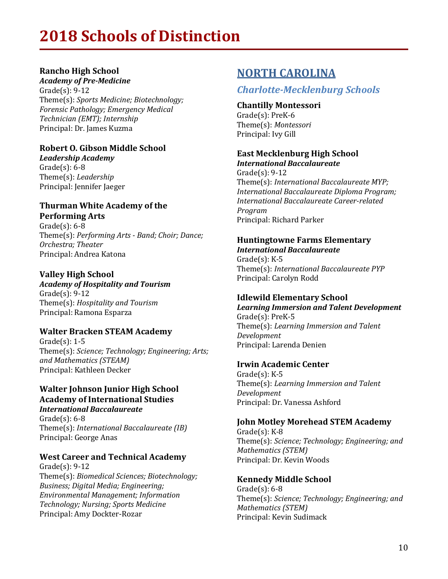### **Rancho High School**

*Academy of Pre-Medicine*  $Gradel(s)$ : 9-12 Theme(s): *Sports Medicine; Biotechnology; Forensic Pathology; Emergency Medical Technician (EMT); Internship* Principal: Dr. James Kuzma

### **Robert O. Gibson Middle School**

*Leadership Academy*  $Grade(s): 6-8$ Theme(s): *Leadership* Principal: Jennifer Jaeger

#### **Thurman White Academy of the Performing Arts**

 $Grade(s): 6-8$ Theme(s): *Performing Arts - Band; Choir; Dance; Orchestra; Theater* Principal: Andrea Katona

### **Valley High School**

*Academy of Hospitality and Tourism*  $Grade(s): 9-12$ Theme(s): *Hospitality and Tourism* Principal: Ramona Esparza

### **Walter Bracken STEAM Academy**

 $Grade(s): 1-5$ Theme(s): *Science; Technology; Engineering; Arts; and Mathematics (STEAM)* Principal: Kathleen Decker

#### **Walter Johnson Junior High School Academy of International Studies** *International Baccalaureate*

Grade $(s)$ : 6-8 Theme(s): *International Baccalaureate* (*IB*) Principal: George Anas

### **West Career and Technical Academy**

 $Grade(s): 9-12$ Theme(s): *Biomedical Sciences; Biotechnology; Business; Digital Media; Engineering; Environmental Management; Information Technology; Nursing; Sports Medicine* Principal: Amy Dockter-Rozar

# **NORTH CAROLINA**

### *Charlotte-Mecklenburg Schools*

**Chantilly Montessori** Grade(s): PreK-6 Theme(s): *Montessori* Principal: Ivy Gill

### **East Mecklenburg High School** *International Baccalaureate*

 $Grade(s): 9-12$ Theme(s): *International Baccalaureate MYP; International Baccalaureate Diploma Program; International Baccalaureate Career-related Program* Principal: Richard Parker

#### **Huntingtowne Farms Elementary** *International Baccalaureate*

 $Gradel(s)$ :  $K-5$ Theme(s): *International Baccalaureate PYP* Principal: Carolyn Rodd

### **Idlewild Elementary School**

*Learning Immersion and Talent Development* Grade(s): PreK-5 Theme(s): *Learning Immersion and Talent Development* Principal: Larenda Denien

#### **Irwin Academic Center**

 $Grade(s)$ : K-5 Theme(s): *Learning Immersion and Talent Development* Principal: Dr. Vanessa Ashford

### **John Motley Morehead STEM Academy**

 $Grade(s)$ : K-8 Theme(s): Science; Technology; Engineering; and *Mathematics (STEM)* Principal: Dr. Kevin Woods

### **Kennedy Middle School**

Grade $(s)$ : 6-8 Theme(s): Science; Technology; Engineering; and *Mathematics (STEM)* Principal: Kevin Sudimack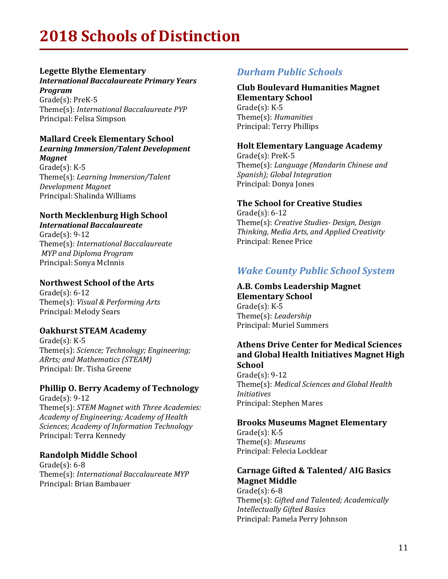### **Legette Blythe Elementary**

**International Baccalaureate Primary Years** *Program*

Grade(s): PreK-5 Theme(s): *International Baccalaureate PYP* Principal: Felisa Simpson

#### **Mallard Creek Elementary School** Learning Immersion/Talent Development

*Magnet*  $Grade(s)$ : K-5 Theme(s): *Learning Immersion/Talent Development Magnet* Principal: Shalinda Williams

## **North Mecklenburg High School**

*International Baccalaureate*  $Grade(s): 9-12$ Theme(s): *International Baccalaureate MYP and Diploma Program* Principal: Sonya McInnis

### **Northwest School of the Arts**

 $Grade(s): 6-12$ Theme(s): *Visual & Performing Arts* Principal: Melody Sears

### **Oakhurst STEAM Academy**

 $Grade(s)$ : K-5 Theme(s): Science; Technology; Engineering; ARrts; and Mathematics (STEAM) Principal: Dr. Tisha Greene

### **Phillip O. Berry Academy of Technology**

 $Grade(s): 9-12$ Theme(s): *STEM Magnet with Three Academies: Academy of Engineering; Academy of Health Sciences; Academy of Information Technology* Principal: Terra Kennedy

### **Randolph Middle School**

 $Grade(s): 6-8$ Theme(s): *International Baccalaureate MYP* Principal: Brian Bambauer

### *Durham Public Schools*

Principal: Terry Phillips

#### **Club Boulevard Humanities Magnet Elementary School**  $Grade(s)$ : K-5 Theme(s): *Humanities*

#### **Holt Elementary Language Academy**

Grade(s): PreK-5 Theme(s): Language (Mandarin Chinese and *Spanish); Global Integration* Principal: Donya Jones

#### **The School for Creative Studies**

 $Grade(s): 6-12$ Theme(s): *Creative Studies- Design, Design Thinking, Media Arts, and Applied Creativity* Principal: Renee Price

### *Wake County Public School System*

**A.B. Combs Leadership Magnet Elementary School**  $Gradefs$ :  $K-5$ Theme(s): *Leadership* Principal: Muriel Summers

#### **Athens Drive Center for Medical Sciences** and Global Health Initiatives Magnet High **School**

 $Grade(s): 9-12$ Theme(s): Medical Sciences and Global Health *Initiatives* Principal: Stephen Mares

### **Brooks Museums Magnet Elementary**

 $Grade(s)$ : K-5 Theme(s): *Museums* Principal: Felecia Locklear

#### **Carnage Gifted & Talented/ AIG Basics Magnet Middle**

 $Grade(s): 6-8$ Theme(s): Gifted and Talented; Academically *Intellectually Gifted Basics* Principal: Pamela Perry Johnson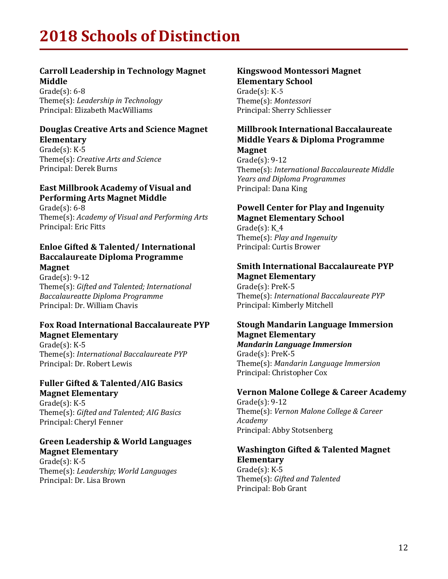### **Carroll Leadership in Technology Magnet Middle**

 $Grade(s): 6-8$ Theme(s): *Leadership* in Technology Principal: Elizabeth MacWilliams

#### **Douglas Creative Arts and Science Magnet Elementary**

 $Gradefs$ :  $K-5$ Theme(s): *Creative Arts and Science* Principal: Derek Burns

#### **East Millbrook Academy of Visual and Performing Arts Magnet Middle**

 $Gradefs$ : 6-8 Theme(s): Academy of Visual and Performing Arts Principal: Eric Fitts

#### **Enloe Gifted & Talented/International Baccalaureate Diploma Programme Magnet**

 $Grade(s): 9-12$ Theme(s): *Gifted and Talented; International Baccalaureatte Diploma Programme* Principal: Dr. William Chavis

#### **Fox Road International Baccalaureate PYP Magnet Elementary**

 $Grade(s)$ : K-5 Theme(s): *International Baccalaureate PYP* Principal: Dr. Robert Lewis

#### **Fuller Gifted & Talented/AIG Basics Magnet Elementary**

 $Gradefs$ :  $K-5$ Theme(s): Gifted and Talented; AIG Basics Principal: Cheryl Fenner

#### **Green Leadership & World Languages Magnet Elementary**

Grade $(s)$ : K-5 Theme(s): *Leadership; World Languages* Principal: Dr. Lisa Brown

#### **Kingswood Montessori Magnet Elementary School**

Grade $(s)$ : K-5 Theme(s): Montessori Principal: Sherry Schliesser

#### **Millbrook International Baccalaureate Middle Years & Diploma Programme Magnet**

 $Grade(s): 9-12$ Theme(s): *International Baccalaureate Middle Years and Diploma Programmes* Principal: Dana King

### **Powell Center for Play and Ingenuity Magnet Elementary School**

Grade $(s)$ : K 4 Theme(s): *Play and Ingenuity* Principal: Curtis Brower

#### **Smith International Baccalaureate PYP Magnet Elementary**

Grade(s): PreK-5 Theme(s): *International Baccalaureate PYP* Principal: Kimberly Mitchell

#### **Stough Mandarin Language Immersion Magnet Elementary** *Mandarin Language Immersion*

Grade(s): PreK-5 Theme(s): *Mandarin Language Immersion* Principal: Christopher Cox

#### **Vernon Malone College & Career Academy**

 $Grade(s): 9-12$ Theme(s): Vernon Malone College & Career *Academy* Principal: Abby Stotsenberg

#### **Washington Gifted & Talented Magnet Elementary**

 $Grade(s)$ : K-5 Theme(s): Gifted and Talented Principal: Bob Grant